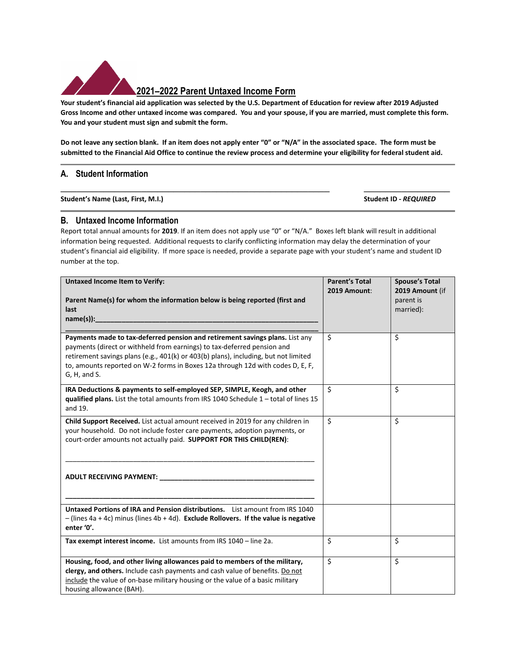

## **2021–2022 Parent Untaxed Income Form**

**Your student's financial aid application was selected by the U.S. Department of Education for review after 2019 Adjusted Gross Income and other untaxed income was compared. You and your spouse, if you are married, must complete this form. You and your student must sign and submit the form.** 

**Do not leave any section blank. If an item does not apply enter "0" or "N/A" in the associated space. The form must be submitted to the Financial Aid Office to continue the review process and determine your eligibility for federal student aid.** 

**\_\_\_\_\_\_\_\_\_\_\_\_\_\_\_\_\_\_\_\_\_\_\_\_\_\_\_\_\_\_\_\_\_\_\_\_\_\_\_\_\_\_\_\_\_\_\_\_\_\_ \_\_\_\_\_\_\_\_\_\_\_\_\_\_\_\_**

## **A. Student Information**

**Student's Name (Last, First, M.I.) Student ID -** *REQUIRED*

## **B. Untaxed Income Information**

Report total annual amounts for **2019**. If an item does not apply use "0" or "N/A." Boxes left blank will result in additional information being requested. Additional requests to clarify conflicting information may delay the determination of your student's financial aid eligibility.If more space is needed, provide a separate page with your student's name and student ID number at the top.

| <b>Untaxed Income Item to Verify:</b>                                                                                                                                                                                                                                                                                                            | <b>Parent's Total</b><br>2019 Amount: | <b>Spouse's Total</b>                     |
|--------------------------------------------------------------------------------------------------------------------------------------------------------------------------------------------------------------------------------------------------------------------------------------------------------------------------------------------------|---------------------------------------|-------------------------------------------|
| Parent Name(s) for whom the information below is being reported (first and<br>last                                                                                                                                                                                                                                                               |                                       | 2019 Amount (if<br>parent is<br>married): |
| Payments made to tax-deferred pension and retirement savings plans. List any<br>payments (direct or withheld from earnings) to tax-deferred pension and<br>retirement savings plans (e.g., 401(k) or 403(b) plans), including, but not limited<br>to, amounts reported on W-2 forms in Boxes 12a through 12d with codes D, E, F,<br>G, H, and S. | \$                                    | \$                                        |
| IRA Deductions & payments to self-employed SEP, SIMPLE, Keogh, and other<br>qualified plans. List the total amounts from IRS 1040 Schedule $1 -$ total of lines 15<br>and 19.                                                                                                                                                                    | \$                                    | \$                                        |
| Child Support Received. List actual amount received in 2019 for any children in<br>your household. Do not include foster care payments, adoption payments, or<br>court-order amounts not actually paid. SUPPORT FOR THIS CHILD(REN):                                                                                                             | \$                                    | \$                                        |
|                                                                                                                                                                                                                                                                                                                                                  |                                       |                                           |
| Untaxed Portions of IRA and Pension distributions. List amount from IRS 1040<br>$-$ (lines 4a + 4c) minus (lines 4b + 4d). Exclude Rollovers. If the value is negative<br>enter '0'.                                                                                                                                                             |                                       |                                           |
| Tax exempt interest income. List amounts from IRS 1040 - line 2a.                                                                                                                                                                                                                                                                                | \$                                    | \$                                        |
| Housing, food, and other living allowances paid to members of the military,<br>clergy, and others. Include cash payments and cash value of benefits. Do not<br>include the value of on-base military housing or the value of a basic military<br>housing allowance (BAH).                                                                        | \$                                    | $\overline{\mathsf{S}}$                   |